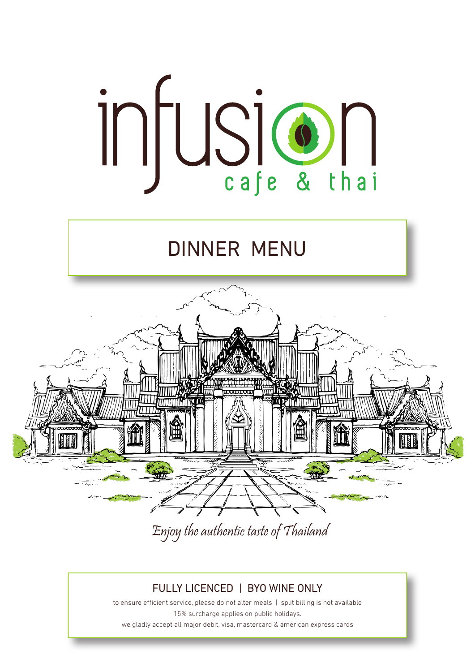



Enjoy the authentic taste of Thailand

### FULLY LICENCED | BYO WINE ONLY

to ensure efficient service, please do not alter meals | split billing is not available 15% surcharge applies on public holidays. we gladly accept all major debit, visa, mastercard & american express cards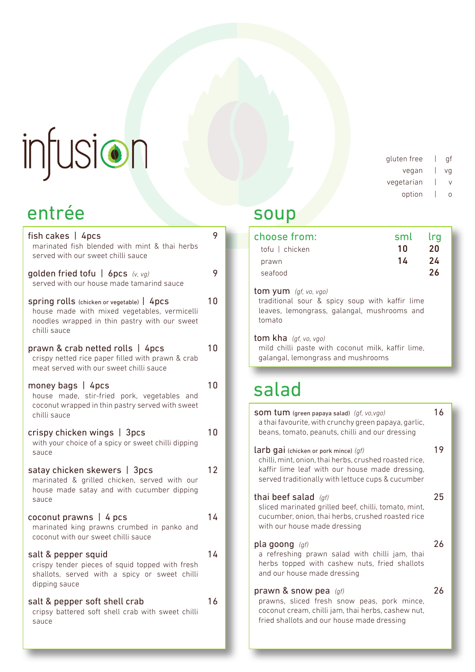## entrée soup

| fish cakes $ $ 4pcs<br>marinated fish blended with mint & thai herbs<br>served with our sweet chilli sauce                                                  | 9  |
|-------------------------------------------------------------------------------------------------------------------------------------------------------------|----|
| golden fried tofu   6pcs $(v, vg)$<br>served with our house made tamarind sauce                                                                             | 9  |
| spring rolls (chicken or vegetable)   4pcs<br>house made with mixed vegetables, vermicelli<br>noodles wrapped in thin pastry with our sweet<br>chilli sauce | 10 |
| prawn & crab netted rolls   4pcs<br>crispy netted rice paper filled with prawn & crab<br>meat served with our sweet chilli sauce                            | 10 |
| money bags $ $ 4pcs<br>house made, stir-fried pork, vegetables and<br>coconut wrapped in thin pastry served with sweet<br>chilli sauce                      | 10 |
| crispy chicken wings $ $ 3pcs<br>with your choice of a spicy or sweet chilli dipping<br>sauce                                                               | 10 |
| satay chicken skewers   3pcs<br>marinated & grilled chicken, served with our<br>house made satay and with cucumber dipping<br>sauce                         | 12 |
| coconut prawns $\vert$ 4 pcs<br>marinated king prawns crumbed in panko and<br>coconut with our sweet chilli sauce                                           | 14 |
| salt & pepper squid<br>crispy tender pieces of squid topped with fresh<br>shallots, served with a spicy or sweet chilli<br>dipping sauce                    | 14 |
| salt & pepper soft shell crab<br>cripsy battered soft shell crab with sweet chilli<br>sauce                                                                 | 16 |

#### gluten free | gf vegan | vg vegetarian | v option | o

| choose from:   | sml lrg |    |
|----------------|---------|----|
| tofu   chicken | 1 N     | 20 |
| prawn          | 14      | 24 |
| seafood        |         | 26 |

#### tom yum *(gf, vo, vgo)*

traditional sour & spicy soup with kaffir lime leaves, lemongrass, galangal, mushrooms and tomato

tom kha *(gf, vo, vgo)* mild chilli paste with coconut milk, kaffir lime, galangal, lemongrass and mushrooms

## salad

| <b>SOM tum</b> (green papaya salad) $(gf, vo, vgo)$<br>a thai favourite, with crunchy green papaya, garlic,<br>beans, tomato, peanuts, chilli and our dressing                                         | 16 |
|--------------------------------------------------------------------------------------------------------------------------------------------------------------------------------------------------------|----|
| larb gai (chicken or pork mince) (gf)<br>chilli, mint, onion, thai herbs, crushed roasted rice,<br>kaffir lime leaf with our house made dressing,<br>served traditionally with lettuce cups & cucumber | 19 |
| thai beef salad $(qf)$<br>sliced marinated grilled beef, chilli, tomato, mint,<br>cucumber, onion, thai herbs, crushed roasted rice<br>with our house made dressing                                    | 25 |
| pla goong $(qf)$<br>a refreshing prawn salad with chilli jam, thai<br>herbs topped with cashew nuts, fried shallots<br>and our house made dressing                                                     | 26 |
| prawn & snow pea $(gf)$<br>prawns, sliced fresh snow peas, pork mince,<br>coconut cream, chilli jam, thai herbs, cashew nut,<br>fried shallots and our house made dressing                             | 26 |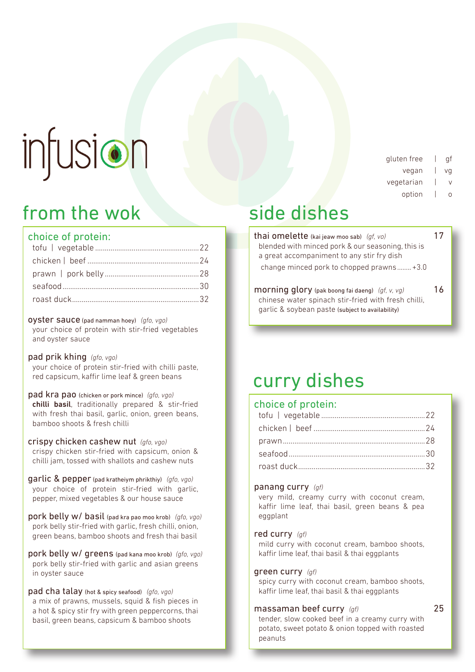#### gluten free | gf vegan | vg vegetarian option

### from the wok

#### choice of protein:

#### oyster sauce (pad namman hoey) *(gfo, vgo)*

your choice of protein with stir-fried vegetables and oyster sauce

#### pad prik khing *(gfo, vgo)*

your choice of protein stir-fried with chilli paste, red capsicum, kaffir lime leaf & green beans

#### pad kra pao (chicken or pork mince) *(gfo, vgo)* chilli basil, traditionally prepared & stir-fried with fresh thai basil, garlic, onion, green beans, bamboo shoots & fresh chilli

#### crispy chicken cashew nut *(gfo, vgo)*

crispy chicken stir-fried with capsicum, onion & chilli jam, tossed with shallots and cashew nuts

garlic & pepper (pad kratheiym phrikthiy) *(gfo, vgo)* your choice of protein stir-fried with garlic, pepper, mixed vegetables & our house sauce

pork belly w/ basil (pad kra pao moo krob) *(gfo, vgo)* pork belly stir-fried with garlic, fresh chilli, onion, green beans, bamboo shoots and fresh thai basil

pork belly w/ greens (pad kana moo krob) *(gfo, vgo)* pork belly stir-fried with garlic and asian greens in oyster sauce

pad cha talay (hot & spicy seafood) *(gfo, vgo)* a mix of prawns, mussels, squid & fish pieces in a hot & spicy stir fry with green peppercorns, thai basil, green beans, capsicum & bamboo shoots

## side dishes

thai omelette (kai jeaw moo sab) *(gf, vo)* 17 blended with minced pork & our seasoning, this is a great accompaniment to any stir fry dish change minced pork to chopped prawns........ +3.0

morning glory (pak boong fai daeng) *(gf, v, vg)* 16 chinese water spinach stir-fried with fresh chilli, garlic & soybean paste (subject to availability)

### curry dishes

#### choice of protein:

#### panang curry *(gf)*

very mild, creamy curry with coconut cream, kaffir lime leaf, thai basil, green beans & pea eggplant

#### red curry *(gf)*

mild curry with coconut cream, bamboo shoots, kaffir lime leaf, thai basil & thai eggplants

#### green curry *(gf)*

spicy curry with coconut cream, bamboo shoots, kaffir lime leaf, thai basil & thai eggplants

#### massaman beef curry *(gf)* 25

tender, slow cooked beef in a creamy curry with potato, sweet potato & onion topped with roasted peanuts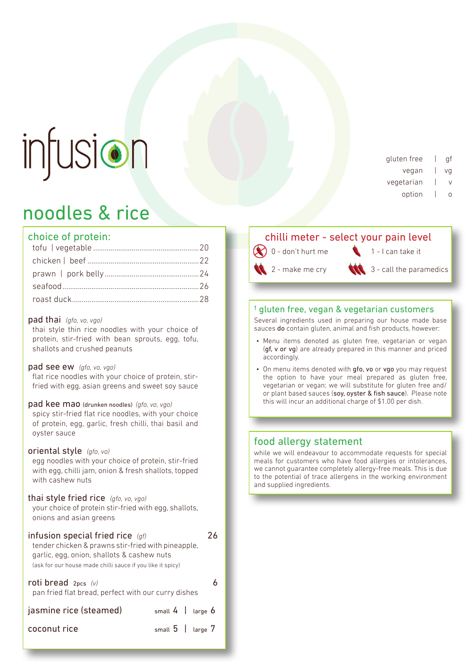## noodles & rice

#### choice of protein:

#### pad thai *(gfo, vo, vgo)*

thai style thin rice noodles with your choice of protein, stir-fried with bean sprouts, egg, tofu, shallots and crushed peanuts

#### pad see ew *(gfo, vo, vgo)*

flat rice noodles with your choice of protein, stirfried with egg, asian greens and sweet soy sauce

pad kee mao (drunken noodles) *(gfo, vo, vgo)*

spicy stir-fried flat rice noodles, with your choice of protein, egg, garlic, fresh chilli, thai basil and oyster sauce

#### oriental style *(gfo, vo)*

egg noodles with your choice of protein, stir-fried with egg, chilli jam, onion & fresh shallots, topped with cashew nuts

#### thai style fried rice *(gfo, vo, vgo)*

your choice of protein stir-fried with egg, shallots, onions and asian greens

#### infusion special fried rice *(gf)* 26 tender chicken & prawns stir-fried with pineapple, garlic, egg, onion, shallots & cashew nuts (ask for our house made chilli sauce if you like it spicy)

roti bread 2pcs (v) 6 pan fried flat bread, perfect with our curry dishes

| jasmine rice (steamed) | small $4 \mid$ large 6 |  |
|------------------------|------------------------|--|
| coconut rice           | small $5$   large $7$  |  |

#### gluten free | gf vegan | vg vegetarian option

### chilli meter - select your pain level

 $\bigwedge$  2 - make me cry

 $\bigotimes$  0 - don't hurt me

 $\bigcup$  1 - I can take it

 $\mathbf{3}$  - call the paramedics

#### † gluten free, vegan & vegetarian customers

Several ingredients used in preparing our house made base sauces do contain gluten, animal and fish products, however:

- Menu items denoted as gluten free, vegetarian or vegan (gf, v or vg) are already prepared in this manner and priced accordingly.
- On menu items denoted with gfo, vo or vgo you may request the option to have your meal prepared as gluten free, vegetarian or vegan; we will substitute for gluten free and/ or plant based sauces (soy, oyster & fish sauce). Please note this will incur an additional charge of \$1.00 per dish.

#### food allergy statement

while we will endeavour to accommodate requests for special meals for customers who have food allergies or intolerances, we cannot guarantee completely allergy-free meals. This is due to the potential of trace allergens in the working environment and supplied ingredients.